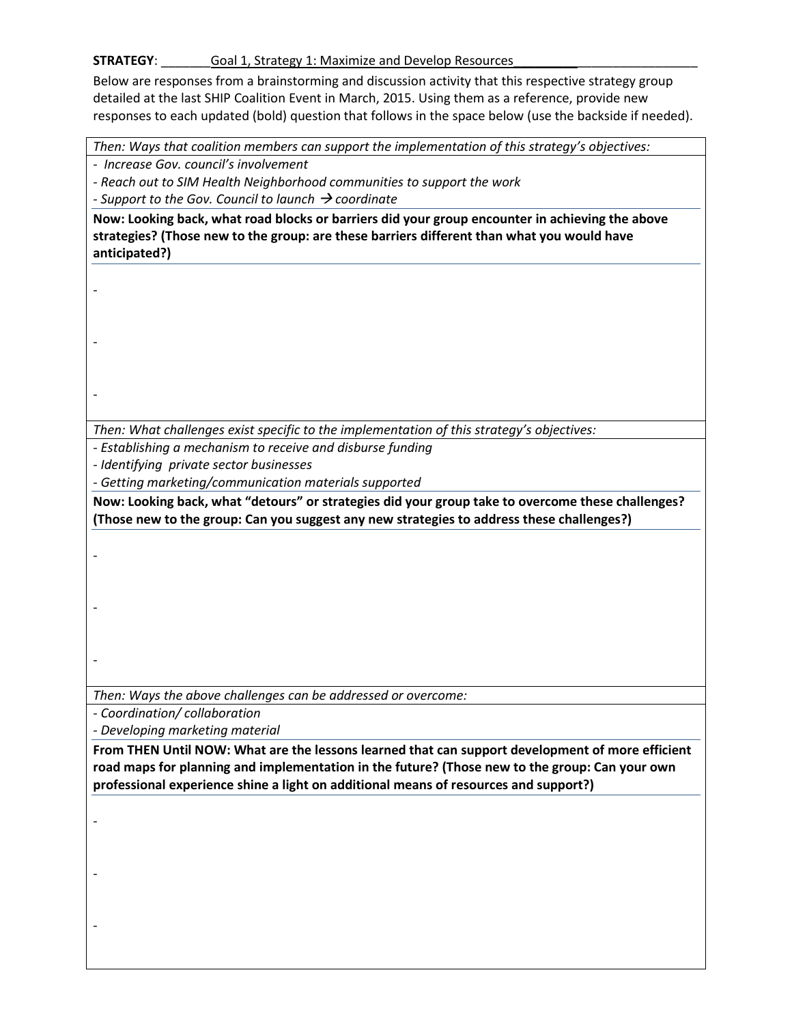## **STRATEGY**: \_\_\_\_\_\_\_\_\_\_Goal 1, Strategy 1: Maximize and Develop Resources\_

Below are responses from a brainstorming and discussion activity that this respective strategy group detailed at the last SHIP Coalition Event in March, 2015. Using them as a reference, provide new responses to each updated (bold) question that follows in the space below (use the backside if needed).

|                                         | Then: Ways that coalition members can support the implementation of this strategy's objectives:                                                                                               |
|-----------------------------------------|-----------------------------------------------------------------------------------------------------------------------------------------------------------------------------------------------|
| - Increase Gov. council's involvement   |                                                                                                                                                                                               |
|                                         | - Reach out to SIM Health Neighborhood communities to support the work                                                                                                                        |
|                                         | - Support to the Gov. Council to launch $\rightarrow$ coordinate                                                                                                                              |
| anticipated?)                           | Now: Looking back, what road blocks or barriers did your group encounter in achieving the above<br>strategies? (Those new to the group: are these barriers different than what you would have |
|                                         |                                                                                                                                                                                               |
|                                         |                                                                                                                                                                                               |
|                                         |                                                                                                                                                                                               |
|                                         |                                                                                                                                                                                               |
|                                         |                                                                                                                                                                                               |
|                                         |                                                                                                                                                                                               |
|                                         |                                                                                                                                                                                               |
|                                         |                                                                                                                                                                                               |
|                                         | Then: What challenges exist specific to the implementation of this strategy's objectives:                                                                                                     |
|                                         | - Establishing a mechanism to receive and disburse funding                                                                                                                                    |
| - Identifying private sector businesses |                                                                                                                                                                                               |
|                                         | - Getting marketing/communication materials supported                                                                                                                                         |
|                                         | Now: Looking back, what "detours" or strategies did your group take to overcome these challenges?                                                                                             |
|                                         | (Those new to the group: Can you suggest any new strategies to address these challenges?)                                                                                                     |
|                                         |                                                                                                                                                                                               |
|                                         |                                                                                                                                                                                               |
|                                         |                                                                                                                                                                                               |
|                                         |                                                                                                                                                                                               |
|                                         |                                                                                                                                                                                               |
|                                         |                                                                                                                                                                                               |
|                                         |                                                                                                                                                                                               |
|                                         |                                                                                                                                                                                               |
|                                         |                                                                                                                                                                                               |
|                                         | Then: Ways the above challenges can be addressed or overcome:                                                                                                                                 |
| - Coordination/ collaboration           |                                                                                                                                                                                               |
| - Developing marketing material         |                                                                                                                                                                                               |
|                                         | From THEN Until NOW: What are the lessons learned that can support development of more efficient                                                                                              |
|                                         | road maps for planning and implementation in the future? (Those new to the group: Can your own                                                                                                |
|                                         | professional experience shine a light on additional means of resources and support?)                                                                                                          |
|                                         |                                                                                                                                                                                               |
|                                         |                                                                                                                                                                                               |
|                                         |                                                                                                                                                                                               |
|                                         |                                                                                                                                                                                               |
|                                         |                                                                                                                                                                                               |
|                                         |                                                                                                                                                                                               |
|                                         |                                                                                                                                                                                               |
|                                         |                                                                                                                                                                                               |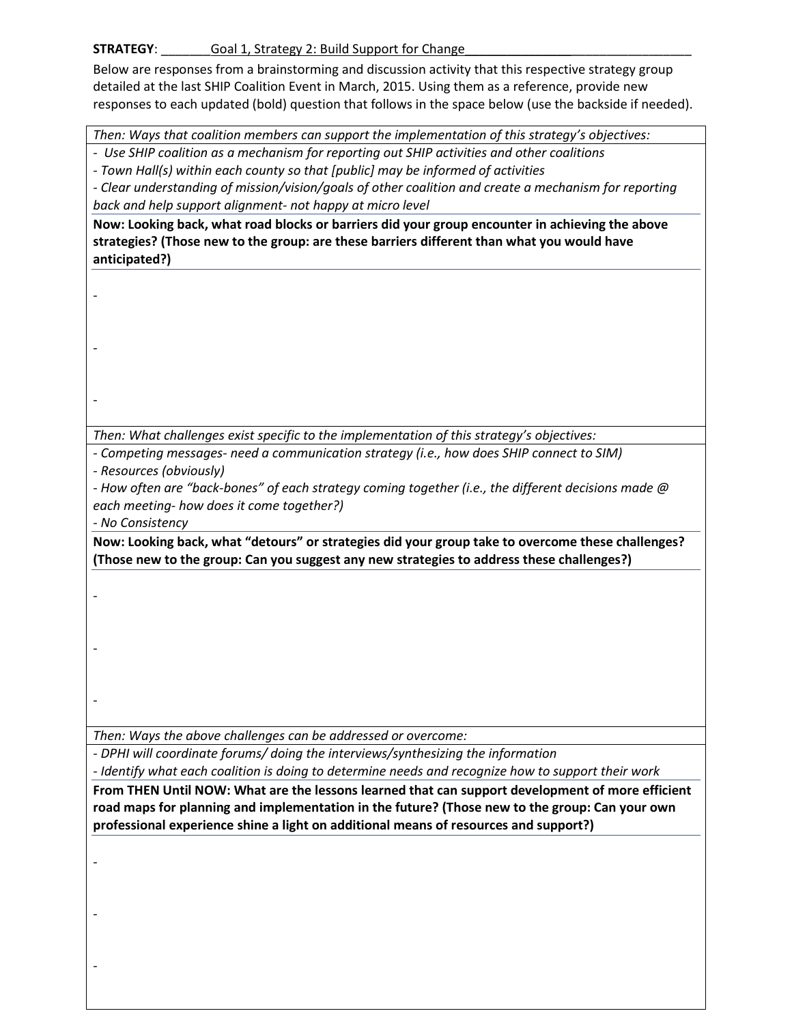## **STRATEGY:** \_\_\_\_\_\_\_\_\_\_ Goal 1, Strategy 2: Build Support for Change

Below are responses from a brainstorming and discussion activity that this respective strategy group detailed at the last SHIP Coalition Event in March, 2015. Using them as a reference, provide new responses to each updated (bold) question that follows in the space below (use the backside if needed).

*Then: Ways that coalition members can support the implementation of this strategy's objectives:* 

*- Use SHIP coalition as a mechanism for reporting out SHIP activities and other coalitions* 

*- Town Hall(s) within each county so that [public] may be informed of activities* 

*- Clear understanding of mission/vision/goals of other coalition and create a mechanism for reporting back and help support alignment- not happy at micro level* 

**Now: Looking back, what road blocks or barriers did your group encounter in achieving the above strategies? (Those new to the group: are these barriers different than what you would have anticipated?)** 

*Then: What challenges exist specific to the implementation of this strategy's objectives:* 

*- Competing messages- need a communication strategy (i.e., how does SHIP connect to SIM)* 

*- Resources (obviously)* 

*-* How often are "back-bones" of each strategy coming together (i.e., the different decisions made @ *each meeting- how does it come together?)* 

*- No Consistency* 

-

-

-

-

-

-

**Now: Looking back, what ͞detours͟ or strategies did your group take to overcome these challenges? (Those new to the group: Can you suggest any new strategies to address these challenges?)**

*Then: Ways the above challenges can be addressed or overcome:* 

*- DPHI will coordinate forums/ doing the interviews/synthesizing the information* 

*- Identify what each coalition is doing to determine needs and recognize how to support their work* 

**From THEN Until NOW: What are the lessons learned that can support development of more efficient road maps for planning and implementation in the future? (Those new to the group: Can your own professional experience shine a light on additional means of resources and support?)** 

-

-

-